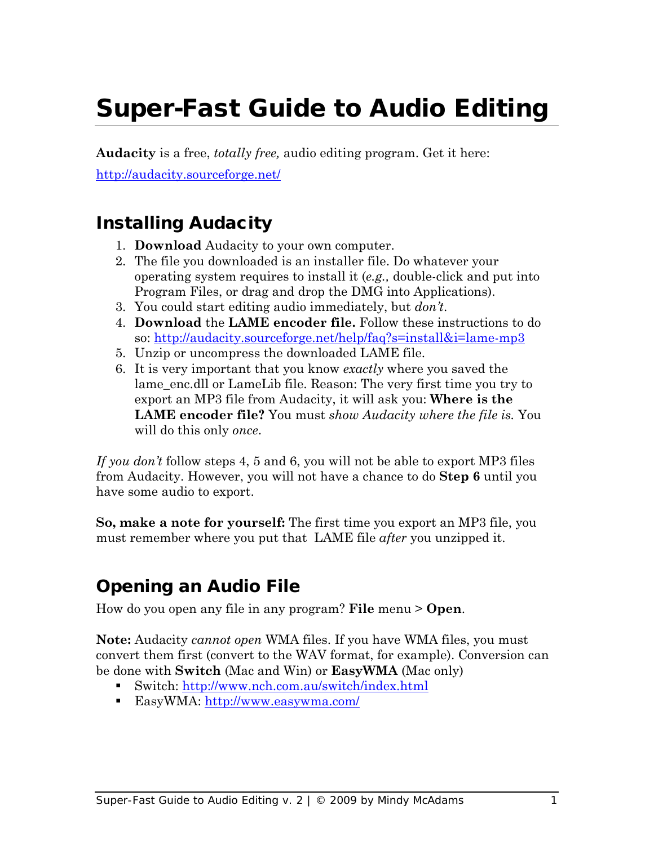# Super-Fast Guide to Audio Editing

**Audacity** is a free, *totally free,* audio editing program. Get it here: <http://audacity.sourceforge.net/>

## Installing Audacity

- 1. **Download** Audacity to your own computer.
- 2. The file you downloaded is an installer file. Do whatever your operating system requires to install it (*e.g.,* double-click and put into Program Files, or drag and drop the DMG into Applications).
- 3. You could start editing audio immediately, but *don't*.
- 4. **Download** the **LAME encoder file.** Follow these instructions to do so:<http://audacity.sourceforge.net/help/faq?s=install&i=lame-mp3>
- 5. Unzip or uncompress the downloaded LAME file.
- 6. It is very important that you know *exactly* where you saved the lame\_enc.dll or LameLib file. Reason: The very first time you try to export an MP3 file from Audacity, it will ask you: **Where is the LAME encoder file?** You must *show Audacity where the file is.* You will do this only *once*.

*If you don't* follow steps 4, 5 and 6, you will not be able to export MP3 files from Audacity. However, you will not have a chance to do **Step 6** until you have some audio to export.

**So, make a note for yourself:** The first time you export an MP3 file, you must remember where you put that LAME file *after* you unzipped it.

## Opening an Audio File

How do you open any file in any program? **File** menu > **Open**.

**Note:** Audacity *cannot open* WMA files. If you have WMA files, you must convert them first (convert to the WAV format, for example). Conversion can be done with **Switch** (Mac and Win) or **EasyWMA** (Mac only)

- Switch:<http://www.nch.com.au/switch/index.html>
- EasyWMA:<http://www.easywma.com/>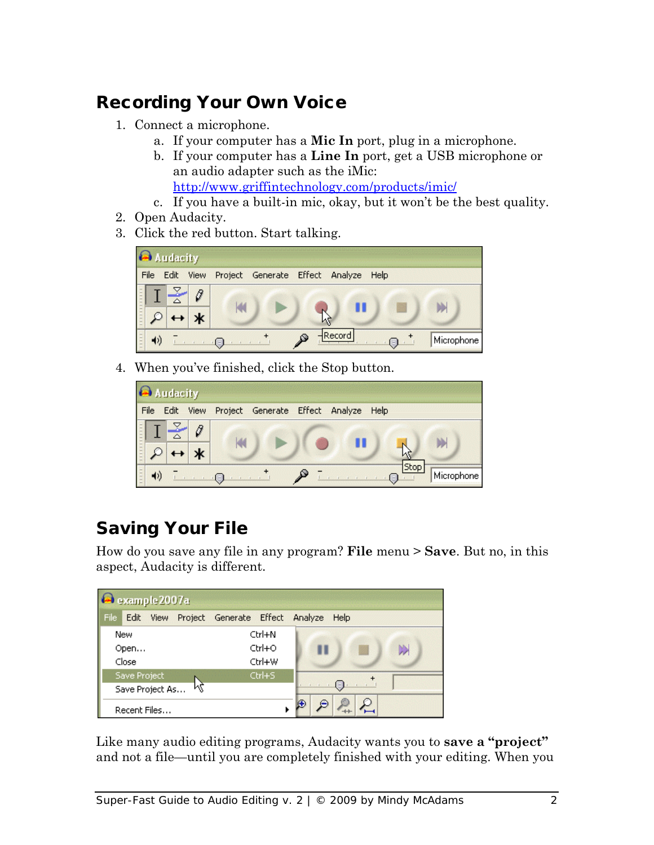# Recording Your Own Voice

- 1. Connect a microphone.
	- a. If your computer has a **Mic In** port, plug in a microphone.
	- b. If your computer has a **Line In** port, get a USB microphone or an audio adapter such as the iMic: <http://www.griffintechnology.com/products/imic/>
	- c. If you have a built-in mic, okay, but it won't be the best quality.
- 2. Open Audacity.
- 3. Click the red button. Start talking.



4. When you've finished, click the Stop button.

|      | Audacity |  |  |  |                                                |  |  |  |           |            |
|------|----------|--|--|--|------------------------------------------------|--|--|--|-----------|------------|
| File |          |  |  |  | Edit View Project Generate Effect Analyze Help |  |  |  |           |            |
|      |          |  |  |  |                                                |  |  |  |           |            |
|      |          |  |  |  |                                                |  |  |  | Stop<br>固 | Microphone |

# Saving Your File

How do you save any file in any program? **File** menu > **Save**. But no, in this aspect, Audacity is different.

| example 2007a         |              |  |                                           |        |  |    |       |  |  |  |
|-----------------------|--------------|--|-------------------------------------------|--------|--|----|-------|--|--|--|
| File                  |              |  | Edit View Project Generate Effect Analyze |        |  |    | Help  |  |  |  |
| New<br>Open           |              |  | Ctrl+N                                    |        |  |    |       |  |  |  |
|                       |              |  | $Ctrl + O$                                |        |  | D) |       |  |  |  |
| Close                 |              |  | Ctrl+W                                    |        |  |    |       |  |  |  |
| Save Project          |              |  |                                           | Ctrl+S |  |    |       |  |  |  |
| ΜŽ<br>Save Project As |              |  |                                           |        |  |    | 48) e |  |  |  |
|                       | Recent Files |  |                                           |        |  |    |       |  |  |  |

Like many audio editing programs, Audacity wants you to **save a "project"** and not a file—until you are completely finished with your editing. When you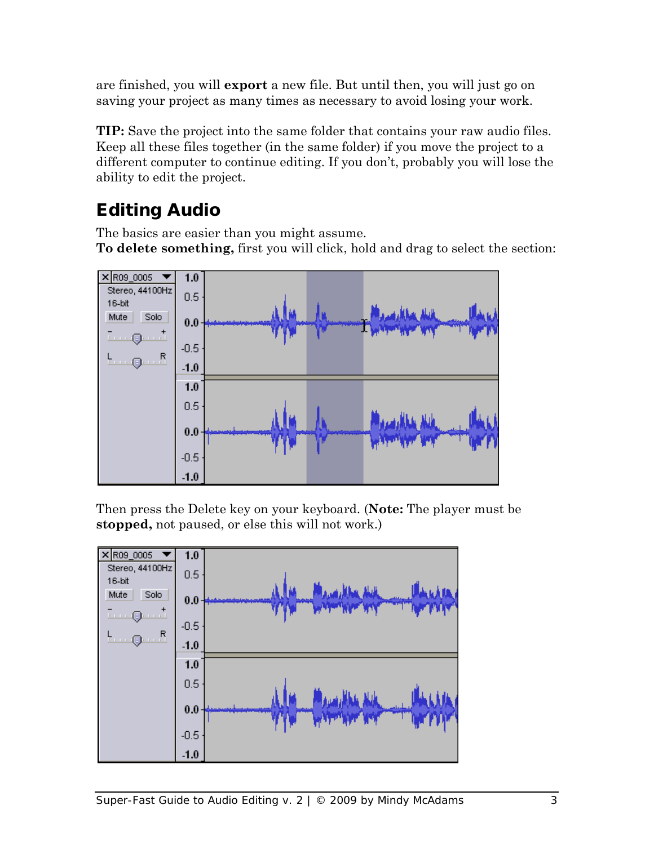are finished, you will **export** a new file. But until then, you will just go on saving your project as many times as necessary to avoid losing your work.

**TIP:** Save the project into the same folder that contains your raw audio files. Keep all these files together (in the same folder) if you move the project to a different computer to continue editing. If you don't, probably you will lose the ability to edit the project.

# Editing Audio

The basics are easier than you might assume.

**To delete something,** first you will click, hold and drag to select the section:



Then press the Delete key on your keyboard. (**Note:** The player must be **stopped,** not paused, or else this will not work.)

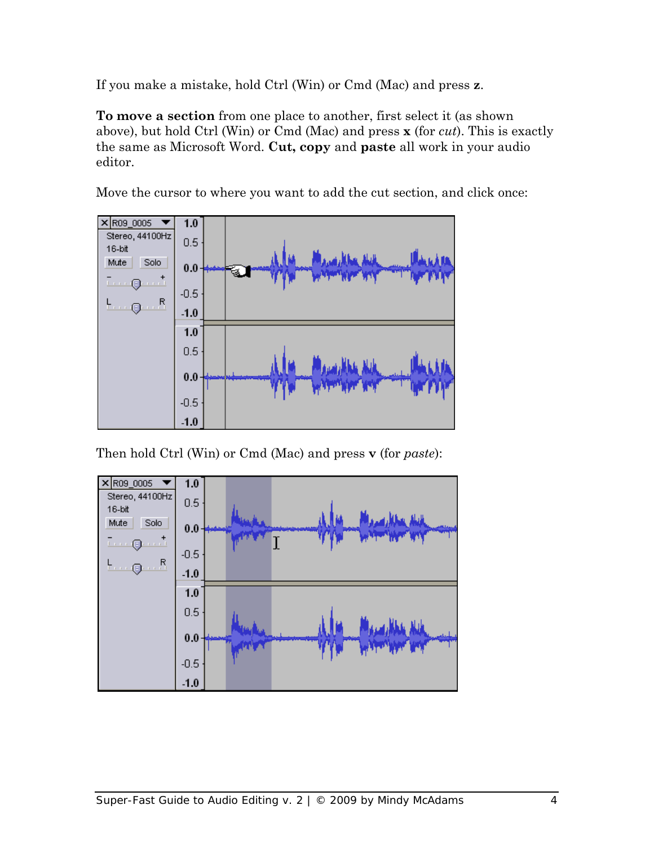If you make a mistake, hold Ctrl (Win) or Cmd (Mac) and press **z**.

**To move a section** from one place to another, first select it (as shown above), but hold Ctrl (Win) or Cmd (Mac) and press **x** (for *cut*). This is exactly the same as Microsoft Word. **Cut, copy** and **paste** all work in your audio editor.

Move the cursor to where you want to add the cut section, and click once:



Then hold Ctrl (Win) or Cmd (Mac) and press **v** (for *paste*):

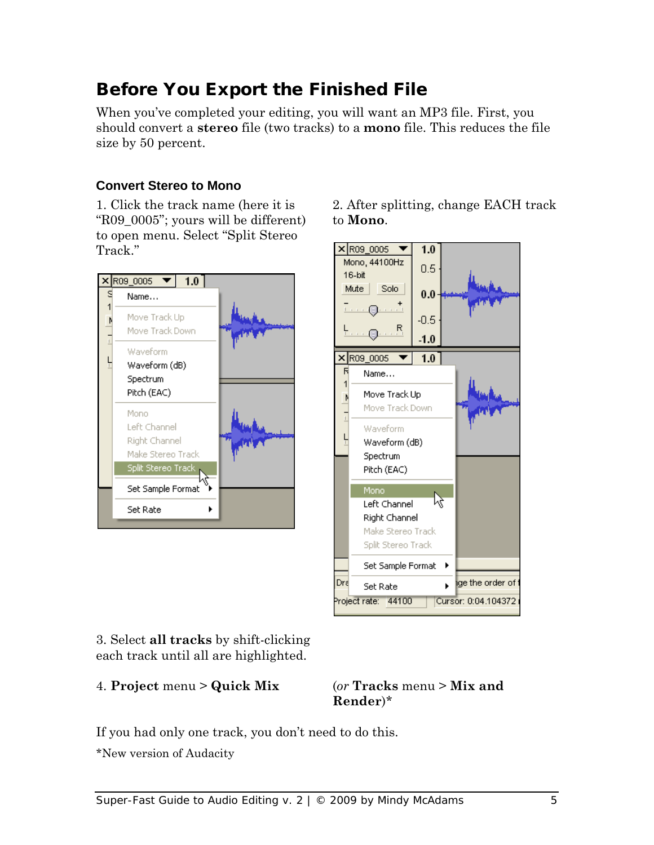# Before You Export the Finished File

When you've completed your editing, you will want an MP3 file. First, you should convert a **stereo** file (two tracks) to a **mono** file. This reduces the file size by 50 percent.

#### **Convert Stereo to Mono**

1. Click the track name (here it is "R09\_0005"; yours will be different) to open menu. Select "Split Stereo Track."



2. After splitting, change EACH track to **Mono**.



3. Select **all tracks** by shift-clicking each track until all are highlighted.

4. **Project** menu > **Quick Mix** (*or* **Tracks** menu > **Mix and** 

**Render**)\*

If you had only one track, you don't need to do this.

\*New version of Audacity